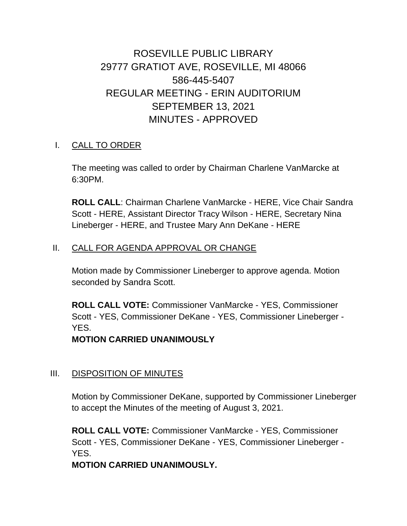# ROSEVILLE PUBLIC LIBRARY 29777 GRATIOT AVE, ROSEVILLE, MI 48066 586-445-5407 REGULAR MEETING - ERIN AUDITORIUM SEPTEMBER 13, 2021 MINUTES - APPROVED

### I. CALL TO ORDER

The meeting was called to order by Chairman Charlene VanMarcke at 6:30PM.

**ROLL CALL**: Chairman Charlene VanMarcke - HERE, Vice Chair Sandra Scott - HERE, Assistant Director Tracy Wilson - HERE, Secretary Nina Lineberger - HERE, and Trustee Mary Ann DeKane - HERE

### II. CALL FOR AGENDA APPROVAL OR CHANGE

Motion made by Commissioner Lineberger to approve agenda. Motion seconded by Sandra Scott.

**ROLL CALL VOTE:** Commissioner VanMarcke - YES, Commissioner Scott - YES, Commissioner DeKane - YES, Commissioner Lineberger - YES.

**MOTION CARRIED UNANIMOUSLY**

### III. DISPOSITION OF MINUTES

Motion by Commissioner DeKane, supported by Commissioner Lineberger to accept the Minutes of the meeting of August 3, 2021.

**ROLL CALL VOTE:** Commissioner VanMarcke - YES, Commissioner Scott - YES, Commissioner DeKane - YES, Commissioner Lineberger - YES.

**MOTION CARRIED UNANIMOUSLY.**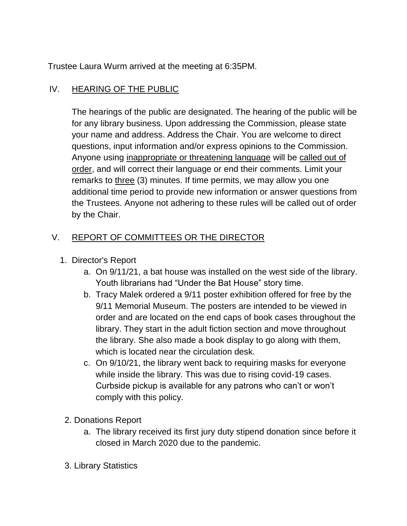Trustee Laura Wurm arrived at the meeting at 6:35PM.

### IV. HEARING OF THE PUBLIC

The hearings of the public are designated. The hearing of the public will be for any library business. Upon addressing the Commission, please state your name and address. Address the Chair. You are welcome to direct questions, input information and/or express opinions to the Commission. Anyone using inappropriate or threatening language will be called out of order, and will correct their language or end their comments. Limit your remarks to three (3) minutes. If time permits, we may allow you one additional time period to provide new information or answer questions from the Trustees. Anyone not adhering to these rules will be called out of order by the Chair.

## V. REPORT OF COMMITTEES OR THE DIRECTOR

- 1. Director's Report
	- a. On 9/11/21, a bat house was installed on the west side of the library. Youth librarians had "Under the Bat House" story time.
	- b. Tracy Malek ordered a 9/11 poster exhibition offered for free by the 9/11 Memorial Museum. The posters are intended to be viewed in order and are located on the end caps of book cases throughout the library. They start in the adult fiction section and move throughout the library. She also made a book display to go along with them, which is located near the circulation desk.
	- c. On 9/10/21, the library went back to requiring masks for everyone while inside the library. This was due to rising covid-19 cases. Curbside pickup is available for any patrons who can't or won't comply with this policy.
	- 2. Donations Report
		- a. The library received its first jury duty stipend donation since before it closed in March 2020 due to the pandemic.
	- 3. Library Statistics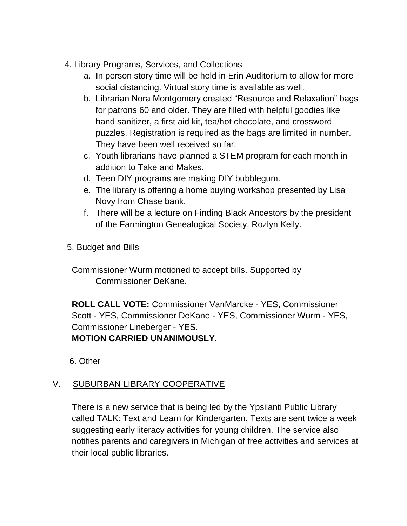- 4. Library Programs, Services, and Collections
	- a. In person story time will be held in Erin Auditorium to allow for more social distancing. Virtual story time is available as well.
	- b. Librarian Nora Montgomery created "Resource and Relaxation" bags for patrons 60 and older. They are filled with helpful goodies like hand sanitizer, a first aid kit, tea/hot chocolate, and crossword puzzles. Registration is required as the bags are limited in number. They have been well received so far.
	- c. Youth librarians have planned a STEM program for each month in addition to Take and Makes.
	- d. Teen DIY programs are making DIY bubblegum.
	- e. The library is offering a home buying workshop presented by Lisa Novy from Chase bank.
	- f. There will be a lecture on Finding Black Ancestors by the president of the Farmington Genealogical Society, Rozlyn Kelly.
- 5. Budget and Bills

Commissioner Wurm motioned to accept bills. Supported by Commissioner DeKane.

**ROLL CALL VOTE:** Commissioner VanMarcke - YES, Commissioner Scott - YES, Commissioner DeKane - YES, Commissioner Wurm - YES, Commissioner Lineberger - YES. **MOTION CARRIED UNANIMOUSLY.**

6. Other

# V. SUBURBAN LIBRARY COOPERATIVE

There is a new service that is being led by the Ypsilanti Public Library called TALK: Text and Learn for Kindergarten. Texts are sent twice a week suggesting early literacy activities for young children. The service also notifies parents and caregivers in Michigan of free activities and services at their local public libraries.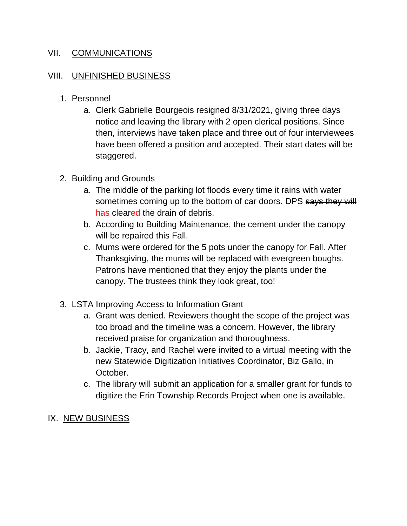### VII. COMMUNICATIONS

### VIII. UNFINISHED BUSINESS

- 1. Personnel
	- a. Clerk Gabrielle Bourgeois resigned 8/31/2021, giving three days notice and leaving the library with 2 open clerical positions. Since then, interviews have taken place and three out of four interviewees have been offered a position and accepted. Their start dates will be staggered.
- 2. Building and Grounds
	- a. The middle of the parking lot floods every time it rains with water sometimes coming up to the bottom of car doors. DPS says they will has cleared the drain of debris.
	- b. According to Building Maintenance, the cement under the canopy will be repaired this Fall.
	- c. Mums were ordered for the 5 pots under the canopy for Fall. After Thanksgiving, the mums will be replaced with evergreen boughs. Patrons have mentioned that they enjoy the plants under the canopy. The trustees think they look great, too!
- 3. LSTA Improving Access to Information Grant
	- a. Grant was denied. Reviewers thought the scope of the project was too broad and the timeline was a concern. However, the library received praise for organization and thoroughness.
	- b. Jackie, Tracy, and Rachel were invited to a virtual meeting with the new Statewide Digitization Initiatives Coordinator, Biz Gallo, in October.
	- c. The library will submit an application for a smaller grant for funds to digitize the Erin Township Records Project when one is available.
- IX. NEW BUSINESS